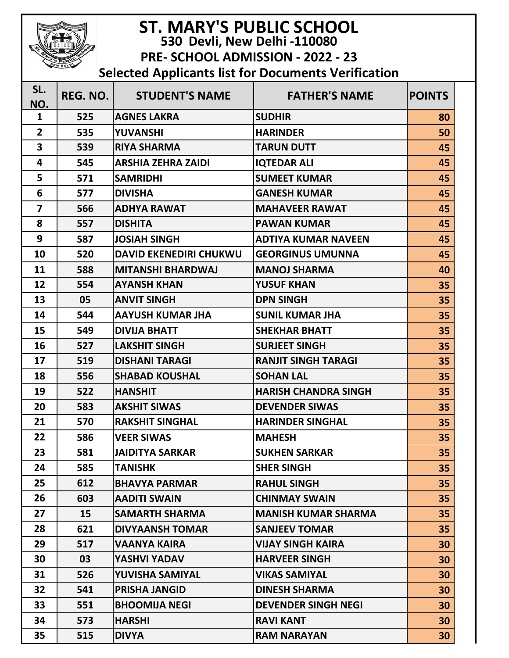| <b>ST. MARY'S PUBLIC SCHOOL</b><br>530 Devli, New Delhi -110080<br>PRE- SCHOOL ADMISSION - 2022 - 23 |          |                               |                             |               |  |  |  |  |  |
|------------------------------------------------------------------------------------------------------|----------|-------------------------------|-----------------------------|---------------|--|--|--|--|--|
| <b>Selected Applicants list for Documents Verification</b>                                           |          |                               |                             |               |  |  |  |  |  |
| SL.                                                                                                  | REG. NO. | <b>STUDENT'S NAME</b>         | <b>FATHER'S NAME</b>        | <b>POINTS</b> |  |  |  |  |  |
| NO.                                                                                                  |          |                               |                             |               |  |  |  |  |  |
| $\mathbf{1}$                                                                                         | 525      | <b>AGNES LAKRA</b>            | <b>SUDHIR</b>               | 80            |  |  |  |  |  |
| $\overline{2}$                                                                                       | 535      | <b>YUVANSHI</b>               | <b>HARINDER</b>             | 50            |  |  |  |  |  |
| 3                                                                                                    | 539      | <b>RIYA SHARMA</b>            | <b>TARUN DUTT</b>           | 45            |  |  |  |  |  |
| 4                                                                                                    | 545      | <b>ARSHIA ZEHRA ZAIDI</b>     | <b>IQTEDAR ALI</b>          | 45            |  |  |  |  |  |
| 5                                                                                                    | 571      | <b>SAMRIDHI</b>               | <b>SUMEET KUMAR</b>         | 45            |  |  |  |  |  |
| 6                                                                                                    | 577      | <b>DIVISHA</b>                | <b>GANESH KUMAR</b>         | 45            |  |  |  |  |  |
| $\overline{7}$                                                                                       | 566      | <b>ADHYA RAWAT</b>            | <b>MAHAVEER RAWAT</b>       | 45            |  |  |  |  |  |
| 8                                                                                                    | 557      | <b>DISHITA</b>                | <b>PAWAN KUMAR</b>          | 45            |  |  |  |  |  |
| 9                                                                                                    | 587      | <b>JOSIAH SINGH</b>           | <b>ADTIYA KUMAR NAVEEN</b>  | 45            |  |  |  |  |  |
| 10                                                                                                   | 520      | <b>DAVID EKENEDIRI CHUKWU</b> | <b>GEORGINUS UMUNNA</b>     | 45            |  |  |  |  |  |
| 11                                                                                                   | 588      | <b>MITANSHI BHARDWAJ</b>      | <b>MANOJ SHARMA</b>         | 40            |  |  |  |  |  |
| 12                                                                                                   | 554      | <b>AYANSH KHAN</b>            | <b>YUSUF KHAN</b>           | 35            |  |  |  |  |  |
| 13                                                                                                   | 05       | <b>ANVIT SINGH</b>            | <b>DPN SINGH</b>            | 35            |  |  |  |  |  |
| 14                                                                                                   | 544      | <b>AAYUSH KUMAR JHA</b>       | <b>SUNIL KUMAR JHA</b>      | 35            |  |  |  |  |  |
| 15                                                                                                   | 549      | <b>DIVIJA BHATT</b>           | <b>SHEKHAR BHATT</b>        | 35            |  |  |  |  |  |
| 16                                                                                                   | 527      | <b>LAKSHIT SINGH</b>          | <b>SURJEET SINGH</b>        | 35            |  |  |  |  |  |
| 17                                                                                                   | 519      | <b>DISHANI TARAGI</b>         | <b>RANJIT SINGH TARAGI</b>  | 35            |  |  |  |  |  |
| 18                                                                                                   | 556      | <b>SHABAD KOUSHAL</b>         | <b>SOHAN LAL</b>            | 35            |  |  |  |  |  |
| 19                                                                                                   | 522      | <b>HANSHIT</b>                | <b>HARISH CHANDRA SINGH</b> | 35            |  |  |  |  |  |
| 20                                                                                                   | 583      | <b>AKSHIT SIWAS</b>           | <b>DEVENDER SIWAS</b>       | 35            |  |  |  |  |  |
| 21                                                                                                   | 570      | <b>RAKSHIT SINGHAL</b>        | <b>HARINDER SINGHAL</b>     | 35            |  |  |  |  |  |
| 22                                                                                                   | 586      | <b>VEER SIWAS</b>             | <b>MAHESH</b>               | 35            |  |  |  |  |  |
| 23                                                                                                   | 581      | <b>JAIDITYA SARKAR</b>        | <b>SUKHEN SARKAR</b>        | 35            |  |  |  |  |  |
| 24                                                                                                   | 585      | <b>TANISHK</b>                | <b>SHER SINGH</b>           | 35            |  |  |  |  |  |
| 25                                                                                                   | 612      | <b>BHAVYA PARMAR</b>          | <b>RAHUL SINGH</b>          | 35            |  |  |  |  |  |
| 26                                                                                                   | 603      | <b>AADITI SWAIN</b>           | <b>CHINMAY SWAIN</b>        | 35            |  |  |  |  |  |
| 27                                                                                                   | 15       | <b>SAMARTH SHARMA</b>         | <b>MANISH KUMAR SHARMA</b>  | 35            |  |  |  |  |  |
| 28                                                                                                   | 621      | <b>DIVYAANSH TOMAR</b>        | <b>SANJEEV TOMAR</b>        | 35            |  |  |  |  |  |
| 29                                                                                                   | 517      | <b>VAANYA KAIRA</b>           | <b>VIJAY SINGH KAIRA</b>    | 30            |  |  |  |  |  |
| 30                                                                                                   | 03       | YASHVI YADAV                  | <b>HARVEER SINGH</b>        | 30            |  |  |  |  |  |
| 31                                                                                                   | 526      | YUVISHA SAMIYAL               | <b>VIKAS SAMIYAL</b>        | 30            |  |  |  |  |  |
| 32                                                                                                   | 541      | <b>PRISHA JANGID</b>          | <b>DINESH SHARMA</b>        | 30            |  |  |  |  |  |
| 33                                                                                                   | 551      | <b>BHOOMIJA NEGI</b>          | <b>DEVENDER SINGH NEGI</b>  | 30            |  |  |  |  |  |
| 34                                                                                                   | 573      | <b>HARSHI</b>                 | <b>RAVI KANT</b>            | 30            |  |  |  |  |  |
| 35                                                                                                   | 515      | <b>DIVYA</b>                  | <b>RAM NARAYAN</b>          | 30            |  |  |  |  |  |